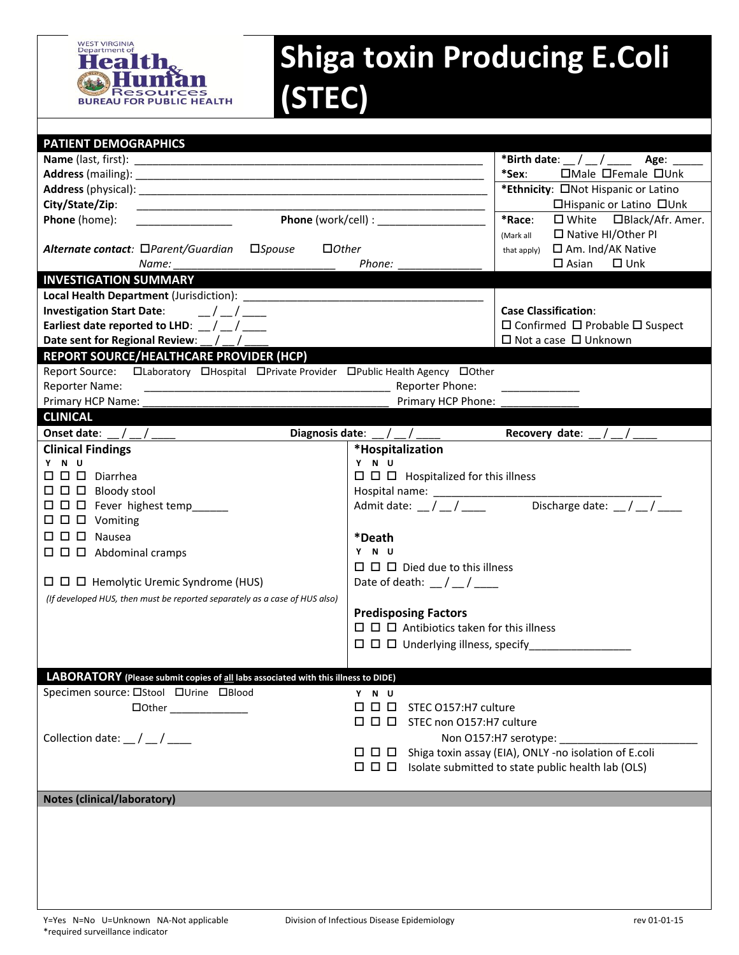

## **Shiga toxin Producing E.Coli (STEC)**

| <b>PATIENT DEMOGRAPHICS</b>                                                         |                                                  |                                                                     |  |
|-------------------------------------------------------------------------------------|--------------------------------------------------|---------------------------------------------------------------------|--|
|                                                                                     |                                                  | *Birth date: $\_\,\_\,\_\,\_\,\_\$ Age: ____                        |  |
|                                                                                     |                                                  | *Sex:<br>□Male □Female □Unk                                         |  |
|                                                                                     |                                                  | *Ethnicity: ONot Hispanic or Latino                                 |  |
| City/State/Zip:                                                                     |                                                  | □Hispanic or Latino □Unk                                            |  |
| Phone (home):                                                                       | <b>Phone</b> (work/cell) :                       | *Race:<br>$\Box$ White $\Box$ Black/Afr. Amer.                      |  |
|                                                                                     |                                                  | $\Box$ Native HI/Other PI<br>(Mark all                              |  |
| Alternate contact: □Parent/Guardian □Spouse<br>$\Box$ Other                         |                                                  | □ Am. Ind/AK Native<br>that apply)                                  |  |
| Name:                                                                               | Phone:                                           | $\square$ Unk<br>$\square$ Asian                                    |  |
| <b>INVESTIGATION SUMMARY</b>                                                        |                                                  |                                                                     |  |
|                                                                                     |                                                  |                                                                     |  |
| <b>Investigation Start Date:</b><br>$\frac{1}{2}$                                   |                                                  | <b>Case Classification:</b>                                         |  |
| Earliest date reported to LHD: $\frac{1}{2}$ / $\frac{1}{2}$                        |                                                  | $\Box$ Confirmed $\Box$ Probable $\Box$ Suspect                     |  |
| Date sent for Regional Review: _/ _/_                                               |                                                  | $\Box$ Not a case $\Box$ Unknown                                    |  |
| REPORT SOURCE/HEALTHCARE PROVIDER (HCP)                                             |                                                  |                                                                     |  |
| Report Source: CLaboratory CHospital CPrivate Provider CPublic Health Agency COther |                                                  |                                                                     |  |
| Reporter Name:                                                                      | Reporter Phone:                                  |                                                                     |  |
| Primary HCP Name:                                                                   | Primary HCP Phone:                               |                                                                     |  |
| <b>CLINICAL</b>                                                                     |                                                  |                                                                     |  |
| Onset date: $/$ /<br>Diagnosis date:                                                |                                                  | Recovery date:                                                      |  |
| <b>Clinical Findings</b>                                                            | *Hospitalization                                 |                                                                     |  |
| Y N U                                                                               | Y N U                                            |                                                                     |  |
| $\square$ $\square$ $\square$ Diarrhea                                              | $\Box$ $\Box$ Hospitalized for this illness      |                                                                     |  |
| $\Box$ $\Box$ Bloody stool                                                          |                                                  |                                                                     |  |
| $\Box$ $\Box$ $\Box$ Fever highest temp______                                       | Admit date: / /                                  | Discharge date: $/$ /                                               |  |
| $\Box$ $\Box$ $\Box$ Vomiting                                                       |                                                  |                                                                     |  |
| $\Box$ $\Box$ $\Box$ Nausea                                                         | *Death                                           |                                                                     |  |
| $\Box$ $\Box$ Abdominal cramps                                                      | Y N U                                            |                                                                     |  |
|                                                                                     | $\Box$ $\Box$ $\Box$ Died due to this illness    |                                                                     |  |
| $\Box$ $\Box$ Hemolytic Uremic Syndrome (HUS)                                       | Date of death: $\frac{1}{2}$ / $\frac{1}{2}$     |                                                                     |  |
| (If developed HUS, then must be reported separately as a case of HUS also)          |                                                  |                                                                     |  |
|                                                                                     | <b>Predisposing Factors</b>                      |                                                                     |  |
|                                                                                     | $\Box$ $\Box$ Antibiotics taken for this illness |                                                                     |  |
|                                                                                     | $\Box$ $\Box$ $\Box$ Underlying illness, specify |                                                                     |  |
|                                                                                     |                                                  |                                                                     |  |
| LABORATORY (Please submit copies of all labs associated with this illness to DIDE)  |                                                  |                                                                     |  |
| Specimen source: □Stool □Urine □Blood                                               | Y N U                                            |                                                                     |  |
|                                                                                     | 000<br>STEC O157:H7 culture                      |                                                                     |  |
|                                                                                     | $\Box$ $\Box$ STEC non 0157:H7 culture           |                                                                     |  |
| Collection date: $\frac{1}{2}$ / $\frac{1}{2}$                                      |                                                  | Non O157:H7 serotype: _________                                     |  |
|                                                                                     |                                                  | $\Box$ $\Box$ Shiga toxin assay (EIA), ONLY -no isolation of E.coli |  |
|                                                                                     |                                                  |                                                                     |  |
|                                                                                     |                                                  |                                                                     |  |
| <b>Notes (clinical/laboratory)</b>                                                  |                                                  |                                                                     |  |
|                                                                                     |                                                  |                                                                     |  |
|                                                                                     |                                                  |                                                                     |  |
|                                                                                     |                                                  |                                                                     |  |
|                                                                                     |                                                  |                                                                     |  |
|                                                                                     |                                                  |                                                                     |  |
|                                                                                     |                                                  |                                                                     |  |
|                                                                                     |                                                  |                                                                     |  |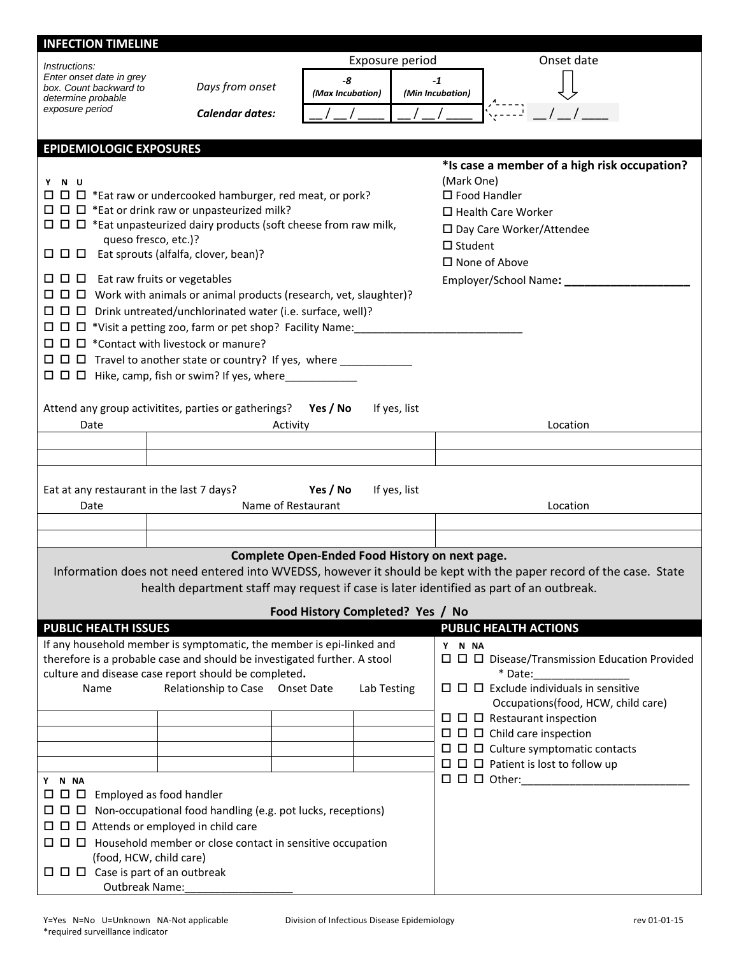| <b>INFECTION TIMELINE</b>                                                                                                        |                                                                                                                          |                                                |                 |                  |                                                                                                                   |
|----------------------------------------------------------------------------------------------------------------------------------|--------------------------------------------------------------------------------------------------------------------------|------------------------------------------------|-----------------|------------------|-------------------------------------------------------------------------------------------------------------------|
| Instructions:                                                                                                                    |                                                                                                                          |                                                | Exposure period |                  | Onset date                                                                                                        |
| Enter onset date in grey                                                                                                         |                                                                                                                          | -8                                             |                 | -1               |                                                                                                                   |
| box. Count backward to<br>determine probable                                                                                     | Days from onset                                                                                                          | (Max Incubation)                               |                 | (Min Incubation) |                                                                                                                   |
| exposure period                                                                                                                  | Calendar dates:                                                                                                          |                                                |                 |                  |                                                                                                                   |
|                                                                                                                                  |                                                                                                                          |                                                |                 |                  |                                                                                                                   |
| <b>EPIDEMIOLOGIC EXPOSURES</b>                                                                                                   |                                                                                                                          |                                                |                 |                  |                                                                                                                   |
|                                                                                                                                  |                                                                                                                          |                                                |                 |                  | *Is case a member of a high risk occupation?                                                                      |
| Y N U                                                                                                                            | $\Box$ $\Box$ $\Box$ *Eat raw or undercooked hamburger, red meat, or pork?                                               |                                                |                 | (Mark One)       | $\square$ Food Handler                                                                                            |
|                                                                                                                                  | $\Box$ $\Box$ *Eat or drink raw or unpasteurized milk?                                                                   |                                                |                 |                  | $\Box$ Health Care Worker                                                                                         |
|                                                                                                                                  | $\Box$ $\Box$ *Eat unpasteurized dairy products (soft cheese from raw milk,                                              |                                                |                 |                  | □ Day Care Worker/Attendee                                                                                        |
| queso fresco, etc.)?                                                                                                             |                                                                                                                          |                                                |                 | $\Box$ Student   |                                                                                                                   |
|                                                                                                                                  | $\Box$ $\Box$ Eat sprouts (alfalfa, clover, bean)?                                                                       |                                                |                 |                  | $\square$ None of Above                                                                                           |
| $\Box$ $\Box$ Eat raw fruits or vegetables                                                                                       |                                                                                                                          |                                                |                 |                  | Employer/School Name: _____________                                                                               |
|                                                                                                                                  | □ □ □ Work with animals or animal products (research, vet, slaughter)?                                                   |                                                |                 |                  |                                                                                                                   |
|                                                                                                                                  | $\Box$ $\Box$ D rink untreated/unchlorinated water (i.e. surface, well)?                                                 |                                                |                 |                  |                                                                                                                   |
|                                                                                                                                  | $\Box$ $\Box$ $\Box$ *Visit a petting zoo, farm or pet shop? Facility Name:                                              |                                                |                 |                  |                                                                                                                   |
|                                                                                                                                  | $\Box$ $\Box$ *Contact with livestock or manure?                                                                         |                                                |                 |                  |                                                                                                                   |
|                                                                                                                                  | $\Box$ $\Box$ Travel to another state or country? If yes, where ______________                                           |                                                |                 |                  |                                                                                                                   |
|                                                                                                                                  | $\Box$ $\Box$ Hike, camp, fish or swim? If yes, where ___________                                                        |                                                |                 |                  |                                                                                                                   |
|                                                                                                                                  | Attend any group activitites, parties or gatherings? Yes / No                                                            |                                                | If yes, list    |                  |                                                                                                                   |
| Date                                                                                                                             |                                                                                                                          | Activity                                       |                 |                  | Location                                                                                                          |
|                                                                                                                                  |                                                                                                                          |                                                |                 |                  |                                                                                                                   |
|                                                                                                                                  |                                                                                                                          |                                                |                 |                  |                                                                                                                   |
|                                                                                                                                  |                                                                                                                          |                                                |                 |                  |                                                                                                                   |
| Eat at any restaurant in the last 7 days?                                                                                        |                                                                                                                          | Yes / No                                       | If yes, list    |                  |                                                                                                                   |
| Date                                                                                                                             |                                                                                                                          | Name of Restaurant                             |                 |                  | Location                                                                                                          |
|                                                                                                                                  |                                                                                                                          |                                                |                 |                  |                                                                                                                   |
|                                                                                                                                  |                                                                                                                          | Complete Open-Ended Food History on next page. |                 |                  |                                                                                                                   |
|                                                                                                                                  |                                                                                                                          |                                                |                 |                  | Information does not need entered into WVEDSS, however it should be kept with the paper record of the case. State |
|                                                                                                                                  | health department staff may request if case is later identified as part of an outbreak.                                  |                                                |                 |                  |                                                                                                                   |
|                                                                                                                                  |                                                                                                                          | Food History Completed? Yes / No               |                 |                  |                                                                                                                   |
| <b>PUBLIC HEALTH ISSUES</b>                                                                                                      |                                                                                                                          |                                                |                 |                  | <b>PUBLIC HEALTH ACTIONS</b>                                                                                      |
|                                                                                                                                  | If any household member is symptomatic, the member is epi-linked and                                                     |                                                |                 | Y N NA           |                                                                                                                   |
| therefore is a probable case and should be investigated further. A stool<br>culture and disease case report should be completed. |                                                                                                                          |                                                |                 |                  |                                                                                                                   |
| Name                                                                                                                             | Relationship to Case Onset Date                                                                                          |                                                | Lab Testing     |                  | * Date:                                                                                                           |
|                                                                                                                                  |                                                                                                                          |                                                |                 |                  | Occupations(food, HCW, child care)                                                                                |
|                                                                                                                                  |                                                                                                                          |                                                |                 |                  | $\Box$ $\Box$ Restaurant inspection                                                                               |
|                                                                                                                                  |                                                                                                                          |                                                |                 |                  | $\Box$ $\Box$ $\Box$ Child care inspection                                                                        |
|                                                                                                                                  |                                                                                                                          |                                                |                 |                  | $\Box$ $\Box$ $\Box$ Culture symptomatic contacts                                                                 |
|                                                                                                                                  |                                                                                                                          |                                                |                 |                  | $\Box$ $\Box$ Patient is lost to follow up                                                                        |
|                                                                                                                                  | Y N NA                                                                                                                   |                                                |                 |                  |                                                                                                                   |
|                                                                                                                                  | $\Box$ $\Box$ Employed as food handler<br>ш<br>$\Box$ $\Box$ Non-occupational food handling (e.g. pot lucks, receptions) |                                                |                 |                  |                                                                                                                   |
| $\Box$ $\Box$ Attends or employed in child care                                                                                  |                                                                                                                          |                                                |                 |                  |                                                                                                                   |
|                                                                                                                                  |                                                                                                                          |                                                |                 |                  |                                                                                                                   |
| (food, HCW, child care)                                                                                                          |                                                                                                                          |                                                |                 |                  |                                                                                                                   |
| $\Box$ $\Box$ Case is part of an outbreak                                                                                        |                                                                                                                          |                                                |                 |                  |                                                                                                                   |
| <b>Outbreak Name:</b>                                                                                                            |                                                                                                                          |                                                |                 |                  |                                                                                                                   |